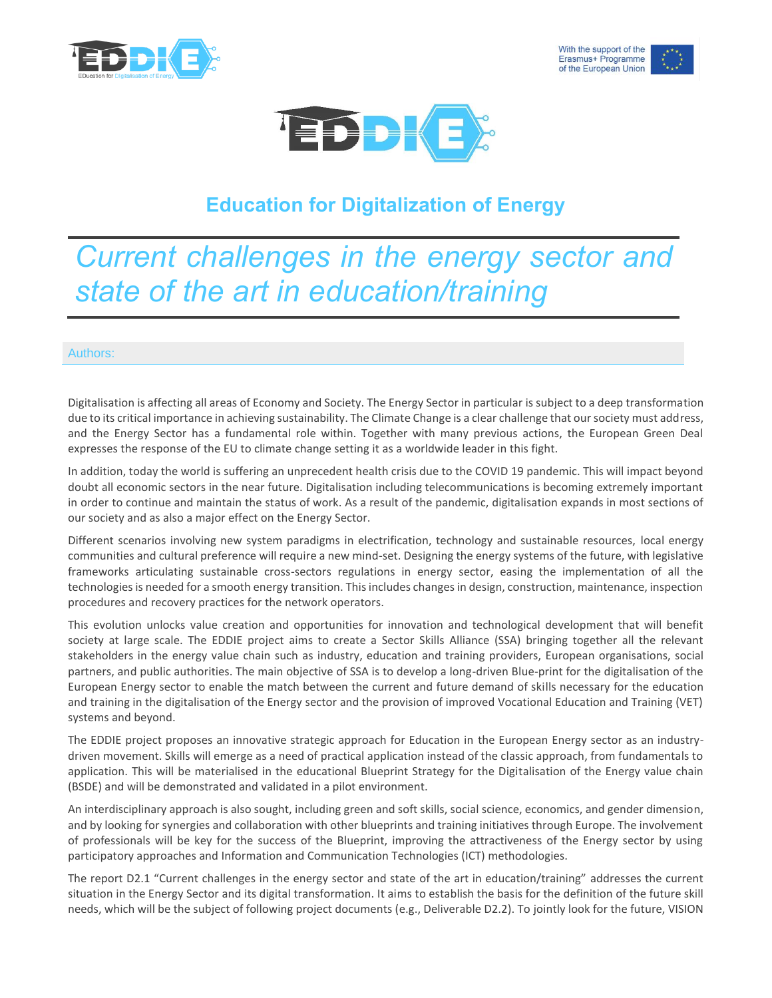





## **Education for Digitalization of Energy**

## *Current challenges in the energy sector and state of the art in education/training*

## Authors:

Digitalisation is affecting all areas of Economy and Society. The Energy Sector in particular is subject to a deep transformation due to its critical importance in achieving sustainability. The Climate Change is a clear challenge that our society must address, and the Energy Sector has a fundamental role within. Together with many previous actions, the European Green Deal expresses the response of the EU to climate change setting it as a worldwide leader in this fight.

In addition, today the world is suffering an unprecedent health crisis due to the COVID 19 pandemic. This will impact beyond doubt all economic sectors in the near future. Digitalisation including telecommunications is becoming extremely important in order to continue and maintain the status of work. As a result of the pandemic, digitalisation expands in most sections of our society and as also a major effect on the Energy Sector.

Different scenarios involving new system paradigms in electrification, technology and sustainable resources, local energy communities and cultural preference will require a new mind-set. Designing the energy systems of the future, with legislative frameworks articulating sustainable cross-sectors regulations in energy sector, easing the implementation of all the technologies is needed for a smooth energy transition. This includes changes in design, construction, maintenance, inspection procedures and recovery practices for the network operators.

This evolution unlocks value creation and opportunities for innovation and technological development that will benefit society at large scale. The EDDIE project aims to create a Sector Skills Alliance (SSA) bringing together all the relevant stakeholders in the energy value chain such as industry, education and training providers, European organisations, social partners, and public authorities. The main objective of SSA is to develop a long-driven Blue-print for the digitalisation of the European Energy sector to enable the match between the current and future demand of skills necessary for the education and training in the digitalisation of the Energy sector and the provision of improved Vocational Education and Training (VET) systems and beyond.

The EDDIE project proposes an innovative strategic approach for Education in the European Energy sector as an industrydriven movement. Skills will emerge as a need of practical application instead of the classic approach, from fundamentals to application. This will be materialised in the educational Blueprint Strategy for the Digitalisation of the Energy value chain (BSDE) and will be demonstrated and validated in a pilot environment.

An interdisciplinary approach is also sought, including green and soft skills, social science, economics, and gender dimension, and by looking for synergies and collaboration with other blueprints and training initiatives through Europe. The involvement of professionals will be key for the success of the Blueprint, improving the attractiveness of the Energy sector by using participatory approaches and Information and Communication Technologies (ICT) methodologies.

The report D2.1 "Current challenges in the energy sector and state of the art in education/training" addresses the current situation in the Energy Sector and its digital transformation. It aims to establish the basis for the definition of the future skill needs, which will be the subject of following project documents (e.g., Deliverable D2.2). To jointly look for the future, VISION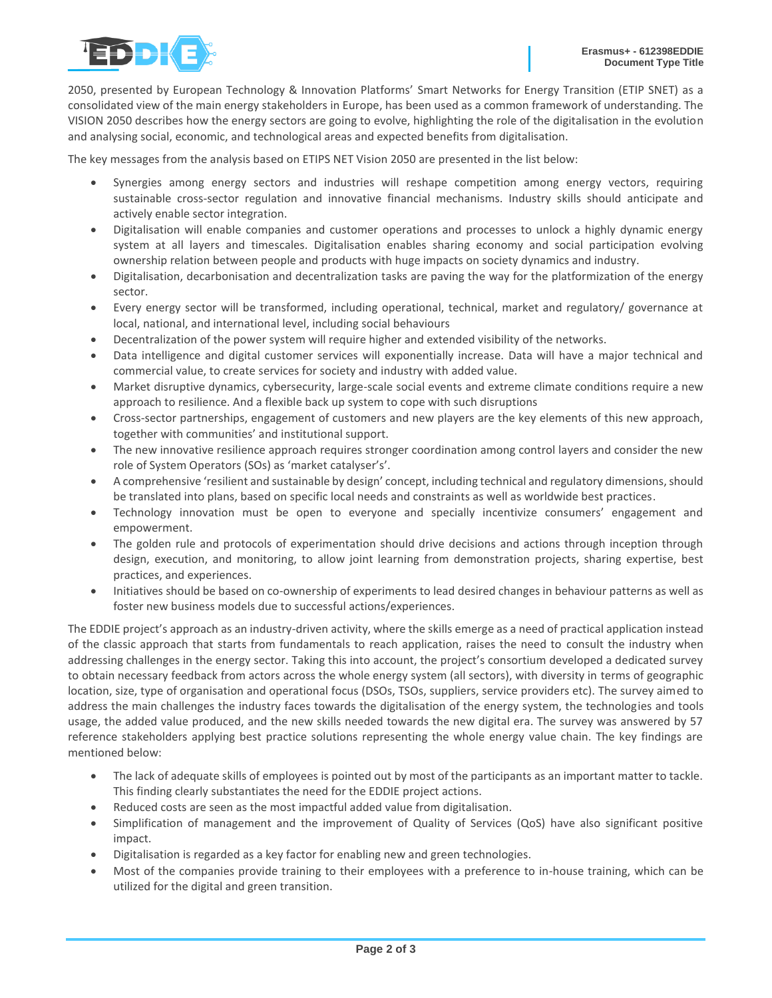

2050, presented by European Technology & Innovation Platforms' Smart Networks for Energy Transition (ETIP SNET) as a consolidated view of the main energy stakeholders in Europe, has been used as a common framework of understanding. The VISION 2050 describes how the energy sectors are going to evolve, highlighting the role of the digitalisation in the evolution and analysing social, economic, and technological areas and expected benefits from digitalisation.

The key messages from the analysis based on ETIPS NET Vision 2050 are presented in the list below:

- Synergies among energy sectors and industries will reshape competition among energy vectors, requiring sustainable cross-sector regulation and innovative financial mechanisms. Industry skills should anticipate and actively enable sector integration.
- Digitalisation will enable companies and customer operations and processes to unlock a highly dynamic energy system at all layers and timescales. Digitalisation enables sharing economy and social participation evolving ownership relation between people and products with huge impacts on society dynamics and industry.
- Digitalisation, decarbonisation and decentralization tasks are paving the way for the platformization of the energy sector.
- Every energy sector will be transformed, including operational, technical, market and regulatory/ governance at local, national, and international level, including social behaviours
- Decentralization of the power system will require higher and extended visibility of the networks.
- Data intelligence and digital customer services will exponentially increase. Data will have a major technical and commercial value, to create services for society and industry with added value.
- Market disruptive dynamics, cybersecurity, large-scale social events and extreme climate conditions require a new approach to resilience. And a flexible back up system to cope with such disruptions
- Cross-sector partnerships, engagement of customers and new players are the key elements of this new approach, together with communities' and institutional support.
- The new innovative resilience approach requires stronger coordination among control layers and consider the new role of System Operators (SOs) as 'market catalyser's'.
- A comprehensive 'resilient and sustainable by design' concept, including technical and regulatory dimensions, should be translated into plans, based on specific local needs and constraints as well as worldwide best practices.
- Technology innovation must be open to everyone and specially incentivize consumers' engagement and empowerment.
- The golden rule and protocols of experimentation should drive decisions and actions through inception through design, execution, and monitoring, to allow joint learning from demonstration projects, sharing expertise, best practices, and experiences.
- Initiatives should be based on co-ownership of experiments to lead desired changes in behaviour patterns as well as foster new business models due to successful actions/experiences.

The EDDIE project's approach as an industry-driven activity, where the skills emerge as a need of practical application instead of the classic approach that starts from fundamentals to reach application, raises the need to consult the industry when addressing challenges in the energy sector. Taking this into account, the project's consortium developed a dedicated survey to obtain necessary feedback from actors across the whole energy system (all sectors), with diversity in terms of geographic location, size, type of organisation and operational focus (DSOs, TSOs, suppliers, service providers etc). The survey aimed to address the main challenges the industry faces towards the digitalisation of the energy system, the technologies and tools usage, the added value produced, and the new skills needed towards the new digital era. The survey was answered by 57 reference stakeholders applying best practice solutions representing the whole energy value chain. The key findings are mentioned below:

- The lack of adequate skills of employees is pointed out by most of the participants as an important matter to tackle. This finding clearly substantiates the need for the EDDIE project actions.
- Reduced costs are seen as the most impactful added value from digitalisation.
- Simplification of management and the improvement of Quality of Services (QoS) have also significant positive impact.
- Digitalisation is regarded as a key factor for enabling new and green technologies.
- Most of the companies provide training to their employees with a preference to in-house training, which can be utilized for the digital and green transition.